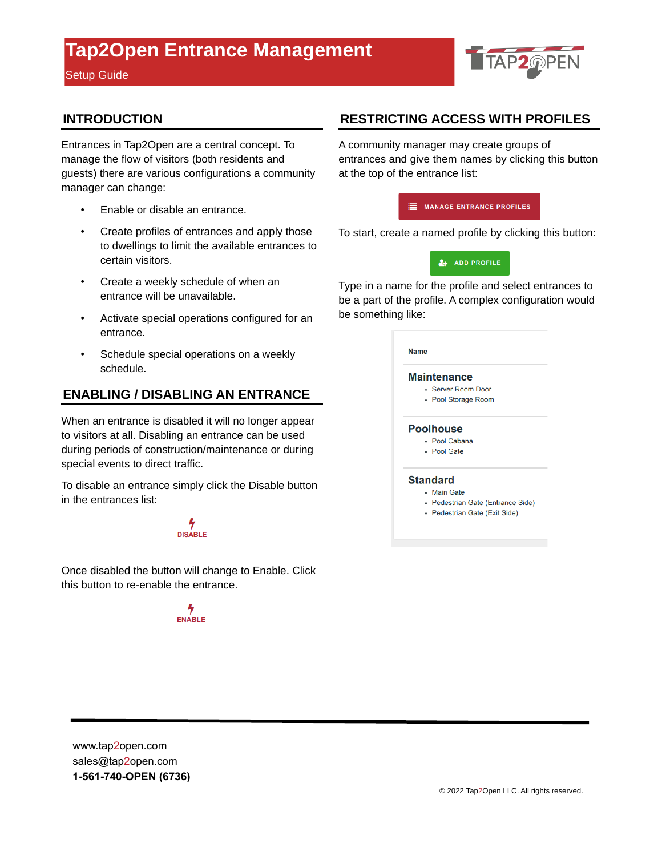Setup Guide



#### **INTRODUCTION**

Entrances in Tap2Open are a central concept. To manage the flow of visitors (both residents and guests) there are various configurations a community manager can change:

- Enable or disable an entrance.
- Create profiles of entrances and apply those to dwellings to limit the available entrances to certain visitors.
- Create a weekly schedule of when an entrance will be unavailable.
- Activate special operations configured for an entrance.
- Schedule special operations on a weekly schedule.

#### **ENABLING / DISABLING AN ENTRANCE**

When an entrance is disabled it will no longer appear to visitors at all. Disabling an entrance can be used during periods of construction/maintenance or during special events to direct traffic.

To disable an entrance simply click the Disable button in the entrances list:

## **DISABLE**

Once disabled the button will change to Enable. Click this button to re-enable the entrance.

**ENABLE** 

#### **RESTRICTING ACCESS WITH PROFILES**

A community manager may create groups of entrances and give them names by clicking this button at the top of the entrance list:



To start, create a named profile by clicking this button:



Type in a name for the profile and select entrances to be a part of the profile. A complex configuration would be something like:

| <b>Maintenance</b>                |
|-----------------------------------|
| • Server Room Door                |
| • Pool Storage Room               |
| <b>Poolhouse</b>                  |
| • Pool Cabana                     |
| • Pool Gate                       |
| <b>Standard</b>                   |
| <b>Main Gate</b>                  |
| • Pedestrian Gate (Entrance Side) |
| • Pedestrian Gate (Exit Side)     |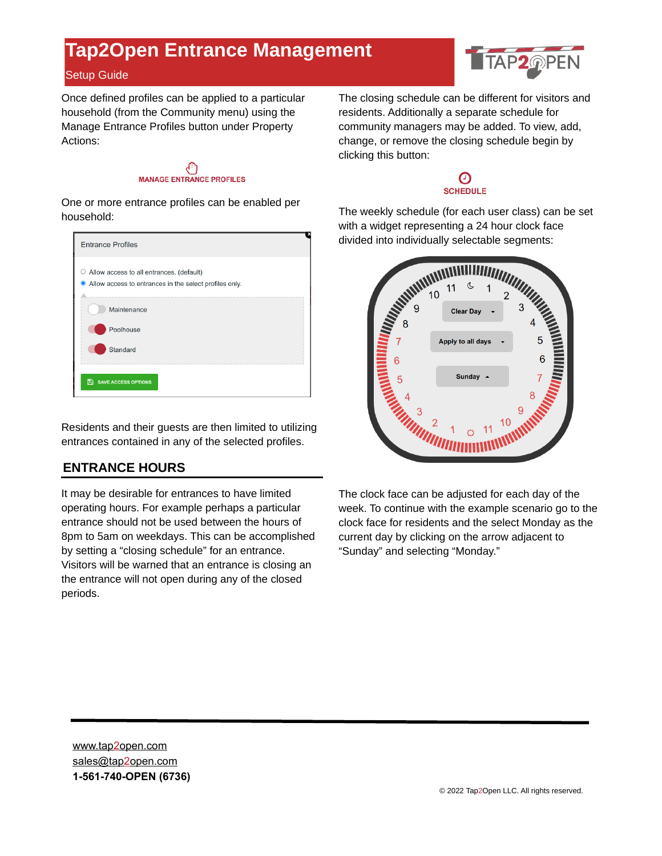#### Setup Guide

Once defined profiles can be applied to a particular household (from the Community menu) using the Manage Entrance Profiles button under Property Actions:



One or more entrance profiles can be enabled per household:



Residents and their guests are then limited to utilizing entrances contained in any of the selected profiles.

#### **ENTRANCE HOURS**

It may be desirable for entrances to have limited operating hours. For example perhaps a particular entrance should not be used between the hours of 8pm to 5am on weekdays. This can be accomplished by setting a "closing schedule" for an entrance. Visitors will be warned that an entrance is closing an the entrance will not open during any of the closed periods.

The closing schedule can be different for visitors and residents. Additionally a separate schedule for community managers may be added. To view, add, change, or remove the closing schedule begin by clicking this button:

#### Θ **SCHEDULE**

with a widget representing a 24 hour clock face divided into individually selectable segments:



The clock face can be adjusted for each day of the week. To continue with the example scenario go to the clock face for residents and the select Monday as the current day by clicking on the arrow adjacent to "Sunday" and selecting "Monday."

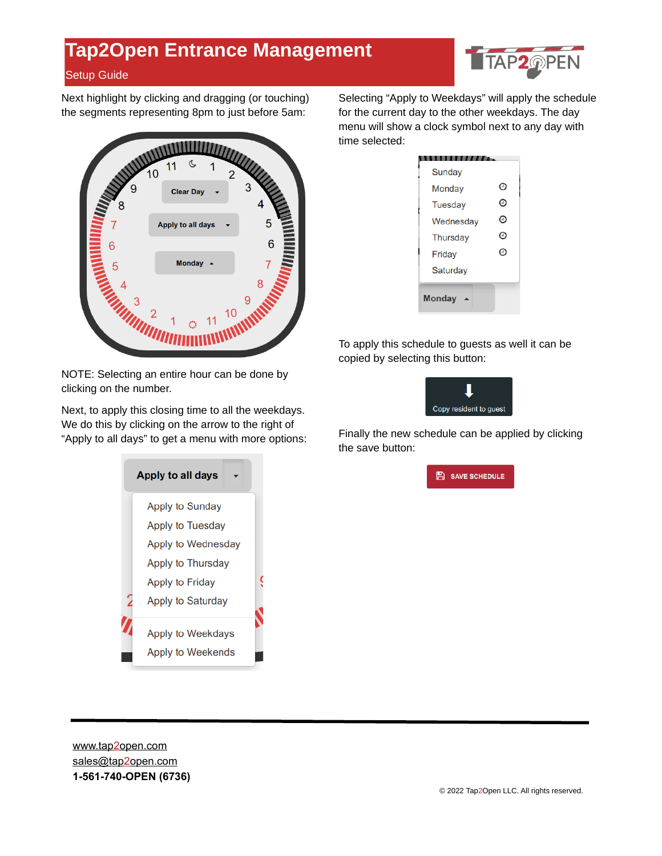

Next highlight by clicking and dragging (or touching) the segments representing 8pm to just before 5am:

Setup Guide



NOTE: Selecting an entire hour can be done by clicking on the number.

Next, to apply this closing time to all the weekdays. We do this by clicking on the arrow to the right of "Apply to all days" to get a menu with more options:



Selecting "Apply to Weekdays" will apply the schedule for the current day to the other weekdays. The day menu will show a clock symbol next to any day with time selected:

| Sunday          |   |
|-----------------|---|
| Monday          | Θ |
| <b>Tuesday</b>  | Θ |
| Wednesday       | O |
| <b>Thursday</b> | Θ |
| Friday          | Θ |
| Saturday        |   |
| <b>Monday</b>   |   |

To apply this schedule to guests as well it can be copied by selecting this button:



Finally the new schedule can be applied by clicking the save button:

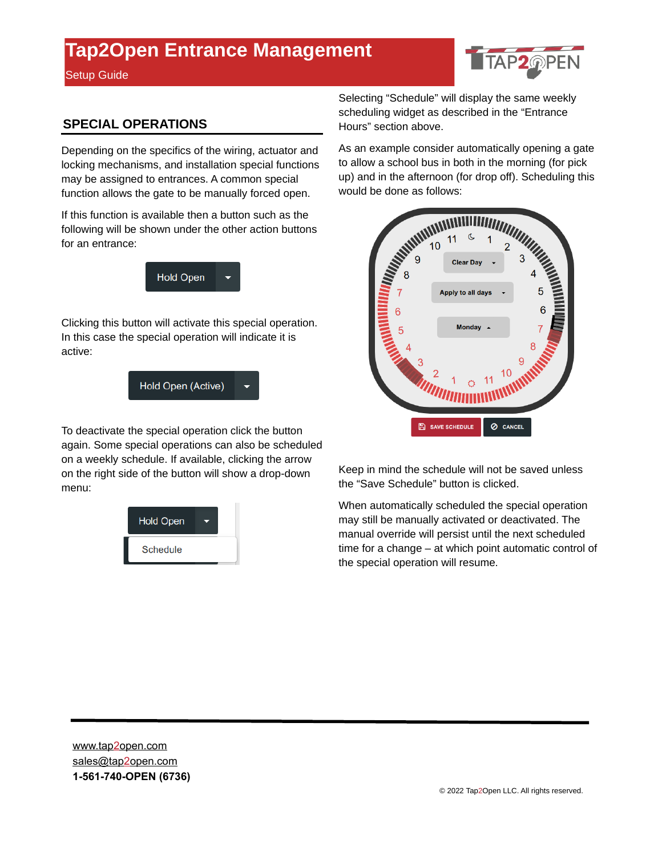Setup Guide



#### **SPECIAL OPERATIONS**

Depending on the specifics of the wiring, actuator and locking mechanisms, and installation special functions may be assigned to entrances. A common special function allows the gate to be manually forced open.

If this function is available then a button such as the following will be shown under the other action buttons for an entrance:



Clicking this button will activate this special operation. In this case the special operation will indicate it is active:

Hold Open (Active)

To deactivate the special operation click the button again. Some special operations can also be scheduled on a weekly schedule. If available, clicking the arrow on the right side of the button will show a drop-down menu:



Selecting "Schedule" will display the same weekly scheduling widget as described in the "Entrance Hours" section above.

As an example consider automatically opening a gate to allow a school bus in both in the morning (for pick would be done as follows:



Keep in mind the schedule will not be saved unless the "Save Schedule" button is clicked.

When automatically scheduled the special operation may still be manually activated or deactivated. The manual override will persist until the next scheduled time for a change – at which point automatic control of the special operation will resume.